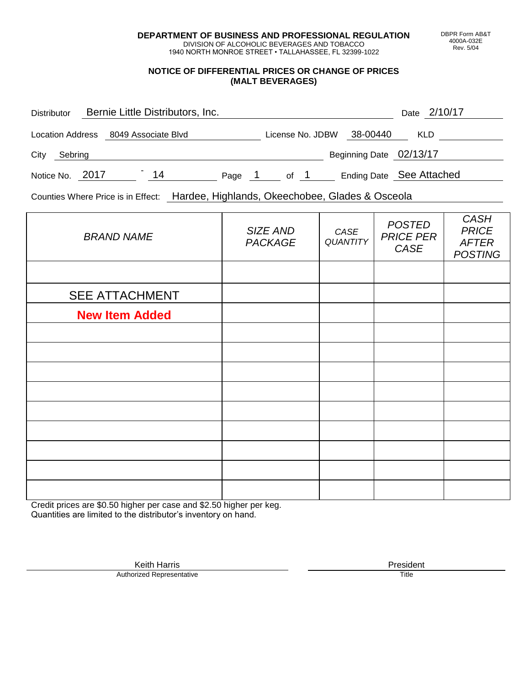**DEPARTMENT OF BUSINESS AND PROFESSIONAL REGULATION** DIVISION OF ALCOHOLIC BEVERAGES AND TOBACCO

1940 NORTH MONROE STREET • TALLAHASSEE, FL 32399-1022

## **NOTICE OF DIFFERENTIAL PRICES OR CHANGE OF PRICES (MALT BEVERAGES)**

| <b>Distributor</b>      | Bernie Little Distributors, Inc. |        |                  |                         | Date 2/10/17             |
|-------------------------|----------------------------------|--------|------------------|-------------------------|--------------------------|
| <b>Location Address</b> | 8049 Associate Blvd              |        | License No. JDBW | 38-00440                | <b>KLD</b>               |
| City<br>Sebring         |                                  |        |                  | Beginning Date 02/13/17 |                          |
| Notice No. 2017         | 14                               | Page 1 | of 1             |                         | Ending Date See Attached |

Counties Where Price is in Effect: Hardee, Highlands, Okeechobee, Glades & Osceola

| <b>BRAND NAME</b>     | SIZE AND<br><b>PACKAGE</b> | CASE<br>QUANTITY | <b>POSTED</b><br><b>PRICE PER</b><br>CASE | CASH<br><b>PRICE</b><br><b>AFTER</b><br><b>POSTING</b> |
|-----------------------|----------------------------|------------------|-------------------------------------------|--------------------------------------------------------|
|                       |                            |                  |                                           |                                                        |
| <b>SEE ATTACHMENT</b> |                            |                  |                                           |                                                        |
| <b>New Item Added</b> |                            |                  |                                           |                                                        |
|                       |                            |                  |                                           |                                                        |
|                       |                            |                  |                                           |                                                        |
|                       |                            |                  |                                           |                                                        |
|                       |                            |                  |                                           |                                                        |
|                       |                            |                  |                                           |                                                        |
|                       |                            |                  |                                           |                                                        |
|                       |                            |                  |                                           |                                                        |
|                       |                            |                  |                                           |                                                        |
|                       |                            |                  |                                           |                                                        |

Credit prices are \$0.50 higher per case and \$2.50 higher per keg. Quantities are limited to the distributor's inventory on hand.

> Keith Harris **President**<br> **President**<br>
> Prized Representative **President** Authorized Representative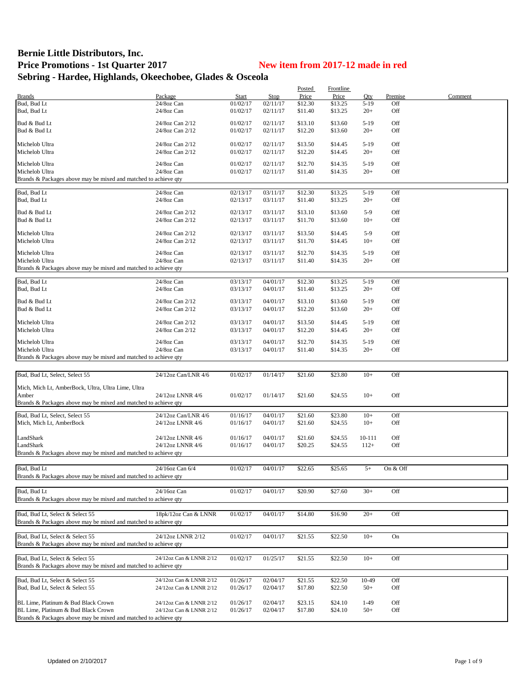## **Bernie Little Distributors, Inc.** Price Promotions - 1st Quarter 2017<br>
New item from 2017-12 made in red **Sebring - Hardee, Highlands, Okeechobee, Glades & Osceola**

|                                                                 |                         |          |          | Posted  | Frontline |        |          |         |
|-----------------------------------------------------------------|-------------------------|----------|----------|---------|-----------|--------|----------|---------|
| <b>Brands</b>                                                   | Package                 | Start    | Stop     | Price   | Price     | Qty    | Premise  | Comment |
| Bud, Bud Lt                                                     | 24/8oz Can              | 01/02/17 | 02/11/17 | \$12.30 | \$13.25   | $5-19$ | Off      |         |
| Bud, Bud Lt                                                     | 24/8oz Can              | 01/02/17 | 02/11/17 | \$11.40 | \$13.25   | $20+$  | Off      |         |
|                                                                 |                         |          |          |         |           |        |          |         |
| Bud & Bud Lt                                                    | 24/8oz Can 2/12         | 01/02/17 | 02/11/17 | \$13.10 | \$13.60   | $5-19$ | Off      |         |
| Bud & Bud Lt                                                    | 24/8oz Can 2/12         | 01/02/17 | 02/11/17 | \$12.20 | \$13.60   | $20+$  | Off      |         |
|                                                                 |                         |          |          |         |           |        |          |         |
| Michelob Ultra                                                  | 24/8oz Can 2/12         | 01/02/17 | 02/11/17 | \$13.50 | \$14.45   | $5-19$ | Off      |         |
| Michelob Ultra                                                  | 24/8oz Can 2/12         | 01/02/17 | 02/11/17 | \$12.20 | \$14.45   | $20+$  | Off      |         |
|                                                                 |                         |          |          |         |           |        |          |         |
| Michelob Ultra                                                  | 24/8oz Can              | 01/02/17 | 02/11/17 | \$12.70 | \$14.35   | $5-19$ | Off      |         |
| Michelob Ultra                                                  | 24/8oz Can              | 01/02/17 | 02/11/17 | \$11.40 | \$14.35   | $20+$  | Off      |         |
| Brands & Packages above may be mixed and matched to achieve qty |                         |          |          |         |           |        |          |         |
|                                                                 |                         |          |          |         |           |        |          |         |
| Bud, Bud Lt                                                     | 24/8oz Can              | 02/13/17 | 03/11/17 | \$12.30 | \$13.25   | $5-19$ | Off      |         |
| Bud, Bud Lt                                                     | 24/8oz Can              | 02/13/17 | 03/11/17 | \$11.40 | \$13.25   | $20+$  | Off      |         |
| Bud & Bud Lt                                                    | 24/8oz Can 2/12         | 02/13/17 | 03/11/17 | \$13.10 | \$13.60   | $5-9$  | Off      |         |
| Bud & Bud Lt                                                    | 24/8oz Can 2/12         | 02/13/17 | 03/11/17 | \$11.70 | \$13.60   | $10+$  | Off      |         |
|                                                                 |                         |          |          |         |           |        |          |         |
| Michelob Ultra                                                  | 24/8oz Can 2/12         | 02/13/17 | 03/11/17 | \$13.50 | \$14.45   | $5-9$  | Off      |         |
| Michelob Ultra                                                  | 24/8oz Can 2/12         | 02/13/17 | 03/11/17 | \$11.70 | \$14.45   | $10+$  | Off      |         |
|                                                                 |                         |          |          |         |           |        |          |         |
| Michelob Ultra                                                  | 24/8oz Can              | 02/13/17 | 03/11/17 | \$12.70 | \$14.35   | $5-19$ | Off      |         |
| Michelob Ultra                                                  | 24/8oz Can              | 02/13/17 | 03/11/17 | \$11.40 | \$14.35   | $20+$  | Off      |         |
| Brands & Packages above may be mixed and matched to achieve qty |                         |          |          |         |           |        |          |         |
|                                                                 |                         |          |          |         |           |        |          |         |
| Bud, Bud Lt                                                     | 24/8oz Can              | 03/13/17 | 04/01/17 | \$12.30 | \$13.25   | $5-19$ | Off      |         |
| Bud, Bud Lt                                                     | 24/8oz Can              | 03/13/17 | 04/01/17 | \$11.40 | \$13.25   | $20+$  | Off      |         |
|                                                                 |                         |          |          |         |           |        |          |         |
| Bud & Bud Lt                                                    | 24/8oz Can 2/12         | 03/13/17 | 04/01/17 | \$13.10 | \$13.60   | $5-19$ | Off      |         |
| Bud & Bud Lt                                                    | 24/8oz Can 2/12         | 03/13/17 | 04/01/17 | \$12.20 | \$13.60   | $20+$  | Off      |         |
|                                                                 |                         |          |          |         |           |        |          |         |
| Michelob Ultra                                                  | 24/8oz Can 2/12         | 03/13/17 | 04/01/17 | \$13.50 | \$14.45   | $5-19$ | Off      |         |
| Michelob Ultra                                                  | 24/8oz Can 2/12         | 03/13/17 | 04/01/17 | \$12.20 | \$14.45   | $20+$  | Off      |         |
|                                                                 |                         |          |          |         |           |        |          |         |
| Michelob Ultra                                                  | 24/8oz Can              | 03/13/17 | 04/01/17 | \$12.70 | \$14.35   | $5-19$ | Off      |         |
| Michelob Ultra                                                  | 24/8oz Can              | 03/13/17 | 04/01/17 | \$11.40 | \$14.35   | $20+$  | Off      |         |
| Brands & Packages above may be mixed and matched to achieve qty |                         |          |          |         |           |        |          |         |
|                                                                 |                         |          |          |         |           |        |          |         |
| Bud, Bud Lt, Select, Select 55                                  | 24/12oz Can/LNR 4/6     | 01/02/17 | 01/14/17 | \$21.60 | \$23.80   | $10+$  | Off      |         |
|                                                                 |                         |          |          |         |           |        |          |         |
| Mich, Mich Lt, AmberBock, Ultra, Ultra Lime, Ultra              |                         |          |          |         |           |        |          |         |
| Amber                                                           | 24/12oz LNNR 4/6        | 01/02/17 | 01/14/17 | \$21.60 | \$24.55   | $10+$  | Off      |         |
| Brands & Packages above may be mixed and matched to achieve qty |                         |          |          |         |           |        |          |         |
|                                                                 |                         |          |          |         |           |        |          |         |
| Bud, Bud Lt, Select, Select 55                                  | 24/12oz Can/LNR 4/6     | 01/16/17 | 04/01/17 | \$21.60 | \$23.80   | $10+$  | Off      |         |
| Mich, Mich Lt, AmberBock                                        | 24/12oz LNNR 4/6        | 01/16/17 | 04/01/17 | \$21.60 | \$24.55   | $10+$  | Off      |         |
|                                                                 |                         |          |          |         |           |        |          |         |
| LandShark                                                       | 24/12oz LNNR 4/6        | 01/16/17 | 04/01/17 | \$21.60 | \$24.55   | 10-111 | Off      |         |
| LandShark                                                       | 24/12oz LNNR 4/6        | 01/16/17 | 04/01/17 | \$20.25 | \$24.55   | $112+$ | Off      |         |
| Brands & Packages above may be mixed and matched to achieve qty |                         |          |          |         |           |        |          |         |
|                                                                 |                         |          |          |         |           |        |          |         |
| Bud, Bud Lt                                                     | 24/16oz Can 6/4         | 01/02/17 | 04/01/17 | \$22.65 | \$25.65   | $5+$   | On & Off |         |
|                                                                 |                         |          |          |         |           |        |          |         |
| Brands & Packages above may be mixed and matched to achieve qty |                         |          |          |         |           |        |          |         |
|                                                                 |                         |          |          |         |           |        |          |         |
| Bud, Bud Lt                                                     | 24/16oz Can             | 01/02/17 | 04/01/17 | \$20.90 | \$27.60   | $30+$  | Off      |         |
| Brands & Packages above may be mixed and matched to achieve qty |                         |          |          |         |           |        |          |         |
|                                                                 |                         |          |          |         |           |        |          |         |
| Bud, Bud Lt, Select & Select 55                                 | 18pk/12oz Can & LNNR    | 01/02/17 | 04/01/17 | \$14.80 | \$16.90   | $20+$  | Off      |         |
| Brands & Packages above may be mixed and matched to achieve qty |                         |          |          |         |           |        |          |         |
|                                                                 |                         |          |          |         |           |        |          |         |
| Bud, Bud Lt, Select & Select 55                                 | 24/12oz LNNR 2/12       | 01/02/17 | 04/01/17 | \$21.55 | \$22.50   | $10+$  | On       |         |
| Brands & Packages above may be mixed and matched to achieve qty |                         |          |          |         |           |        |          |         |
|                                                                 |                         |          |          |         |           |        |          |         |
| Bud, Bud Lt. Select & Select 55                                 | 24/12oz Can & LNNR 2/12 | 01/02/17 | 01/25/17 | \$21.55 | \$22.50   | $10+$  | Off      |         |
| Brands & Packages above may be mixed and matched to achieve qty |                         |          |          |         |           |        |          |         |
|                                                                 |                         |          |          |         |           |        |          |         |
| Bud, Bud Lt, Select & Select 55                                 | 24/12oz Can & LNNR 2/12 | 01/26/17 | 02/04/17 | \$21.55 | \$22.50   | 10-49  | Off      |         |
| Bud, Bud Lt, Select & Select 55                                 | 24/12oz Can & LNNR 2/12 | 01/26/17 | 02/04/17 | \$17.80 | \$22.50   | $50+$  | Off      |         |
|                                                                 |                         |          |          |         |           |        |          |         |
| BL Lime, Platinum & Bud Black Crown                             | 24/12oz Can & LNNR 2/12 | 01/26/17 | 02/04/17 | \$23.15 | \$24.10   | $1-49$ | Off      |         |
| BL Lime, Platinum & Bud Black Crown                             | 24/12oz Can & LNNR 2/12 | 01/26/17 | 02/04/17 | \$17.80 | \$24.10   | $50+$  | Off      |         |
| Brands & Packages above may be mixed and matched to achieve qty |                         |          |          |         |           |        |          |         |
|                                                                 |                         |          |          |         |           |        |          |         |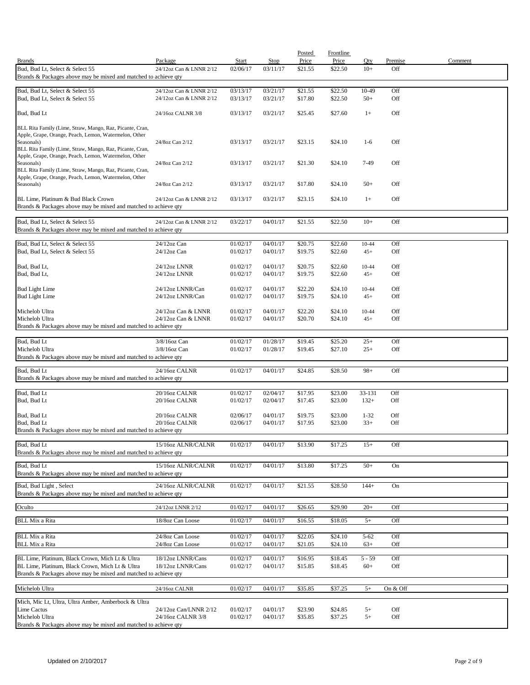|                                                                                                                    |                                |                      |                      | Posted             | <b>Frontline</b>   |                  |            |         |
|--------------------------------------------------------------------------------------------------------------------|--------------------------------|----------------------|----------------------|--------------------|--------------------|------------------|------------|---------|
| <b>Brands</b>                                                                                                      | Package                        | Start                | Stop                 | Price              | Price              | Oty              | Premise    | Comment |
| Bud, Bud Lt, Select & Select 55<br>Brands & Packages above may be mixed and matched to achieve qty                 | 24/12oz Can & LNNR 2/12        | 02/06/17             | 03/11/17             | \$21.55            | \$22.50            | $10+$            | Off        |         |
|                                                                                                                    |                                |                      |                      |                    |                    |                  |            |         |
| Bud, Bud Lt, Select & Select 55                                                                                    | 24/12oz Can & LNNR 2/12        | 03/13/17             | 03/21/17             | \$21.55            | \$22.50            | 10-49            | Off        |         |
| Bud, Bud Lt, Select & Select 55                                                                                    | 24/12oz Can & LNNR 2/12        | 03/13/17             | 03/21/17             | \$17.80            | \$22.50            | $50+$            | Off        |         |
| Bud, Bud Lt                                                                                                        | 24/16oz CALNR 3/8              | 03/13/17             | 03/21/17             | \$25.45            | \$27.60            | $1+$             | Off        |         |
| BLL Rita Family (Lime, Straw, Mango, Raz, Picante, Cran,                                                           |                                |                      |                      |                    |                    |                  |            |         |
| Apple, Grape, Orange, Peach, Lemon, Watermelon, Other                                                              |                                |                      |                      |                    |                    |                  |            |         |
| Seasonals)<br>BLL Rita Family (Lime, Straw, Mango, Raz, Picante, Cran,                                             | 24/8oz Can 2/12                | 03/13/17             | 03/21/17             | \$23.15            | \$24.10            | $1-6$            | Off        |         |
| Apple, Grape, Orange, Peach, Lemon, Watermelon, Other                                                              |                                |                      |                      |                    |                    |                  |            |         |
| Seasonals)                                                                                                         | 24/8oz Can 2/12                | 03/13/17             | 03/21/17             | \$21.30            | \$24.10            | 7-49             | Off        |         |
| BLL Rita Family (Lime, Straw, Mango, Raz, Picante, Cran,<br>Apple, Grape, Orange, Peach, Lemon, Watermelon, Other  |                                |                      |                      |                    |                    |                  |            |         |
| Seasonals)                                                                                                         | 24/8oz Can 2/12                | 03/13/17             | 03/21/17             | \$17.80            | \$24.10            | $50+$            | Off        |         |
| BL Lime, Platinum & Bud Black Crown                                                                                | 24/12oz Can & LNNR 2/12        | 03/13/17             | 03/21/17             | \$23.15            | \$24.10            | $1+$             | Off        |         |
| Brands & Packages above may be mixed and matched to achieve qty                                                    |                                |                      |                      |                    |                    |                  |            |         |
|                                                                                                                    |                                |                      |                      |                    |                    |                  |            |         |
| Bud, Bud Lt, Select & Select 55                                                                                    | 24/12oz Can & LNNR 2/12        | 03/22/17             | 04/01/17             | \$21.55            | \$22.50            | $10+$            | Off        |         |
| Brands & Packages above may be mixed and matched to achieve qty                                                    |                                |                      |                      |                    |                    |                  |            |         |
| Bud, Bud Lt, Select & Select 55                                                                                    | 24/12oz Can                    | 01/02/17             | 04/01/17             | \$20.75            | \$22.60            | 10-44            | Off        |         |
| Bud, Bud Lt, Select & Select 55                                                                                    | $24/12$ oz Can                 | 01/02/17             | 04/01/17             | \$19.75            | \$22.60            | $45+$            | Off        |         |
|                                                                                                                    |                                |                      |                      |                    |                    |                  | Off        |         |
| Bud, Bud Lt,<br>Bud, Bud Lt,                                                                                       | 24/12oz LNNR<br>24/12oz LNNR   | 01/02/17<br>01/02/17 | 04/01/17<br>04/01/17 | \$20.75<br>\$19.75 | \$22.60<br>\$22.60 | 10-44<br>$45+$   | Off        |         |
|                                                                                                                    |                                |                      |                      |                    |                    |                  |            |         |
| <b>Bud Light Lime</b>                                                                                              | 24/12oz LNNR/Can               | 01/02/17             | 04/01/17             | \$22.20            | \$24.10            | 10-44            | Off        |         |
| <b>Bud Light Lime</b>                                                                                              | 24/12oz LNNR/Can               | 01/02/17             | 04/01/17             | \$19.75            | \$24.10            | $45+$            | Off        |         |
| Michelob Ultra                                                                                                     | 24/12oz Can & LNNR             | 01/02/17             | 04/01/17             | \$22.20            | \$24.10            | 10-44            | Off        |         |
| Michelob Ultra                                                                                                     | 24/12oz Can & LNNR             | 01/02/17             | 04/01/17             | \$20.70            | \$24.10            | $45+$            | Off        |         |
| Brands & Packages above may be mixed and matched to achieve qty                                                    |                                |                      |                      |                    |                    |                  |            |         |
| Bud, Bud Lt                                                                                                        | 3/8/16oz Can                   | 01/02/17             | 01/28/17             | \$19.45            | \$25.20            | $25+$            | Off        |         |
| Michelob Ultra                                                                                                     | $3/8/16$ oz Can                | 01/02/17             | 01/28/17             | \$19.45            | \$27.10            | $25+$            | Off        |         |
| Brands & Packages above may be mixed and matched to achieve qty                                                    |                                |                      |                      |                    |                    |                  |            |         |
| Bud, Bud Lt                                                                                                        | 24/16oz CALNR                  | 01/02/17             | 04/01/17             | \$24.85            | \$28.50            | $98+$            | Off        |         |
| Brands & Packages above may be mixed and matched to achieve qty                                                    |                                |                      |                      |                    |                    |                  |            |         |
|                                                                                                                    |                                |                      |                      |                    |                    |                  |            |         |
| Bud, Bud Lt<br>Bud, Bud Lt                                                                                         | 20/16oz CALNR<br>20/16oz CALNR | 01/02/17<br>01/02/17 | 02/04/17             | \$17.95            | \$23.00<br>\$23.00 | 33-131<br>$132+$ | Off<br>Off |         |
|                                                                                                                    |                                |                      | 02/04/17             | \$17.45            |                    |                  |            |         |
| Bud, Bud Lt                                                                                                        | 20/16oz CALNR                  | 02/06/17             | 04/01/17             | \$19.75            | \$23.00            | $1 - 32$         | Off        |         |
| Bud, Bud Lt                                                                                                        | 20/16oz CALNR                  | 02/06/17             | 04/01/17             | \$17.95            | \$23.00            | $33+$            | Off        |         |
| Brands & Packages above may be mixed and matched to achieve qty                                                    |                                |                      |                      |                    |                    |                  |            |         |
| Bud, Bud Lt                                                                                                        | 15/16oz ALNR/CALNR             | 01/02/17             | 04/01/17             | \$13.90            | \$17.25            | $15+$            | Off        |         |
| Brands & Packages above may be mixed and matched to achieve qty                                                    |                                |                      |                      |                    |                    |                  |            |         |
| Bud, Bud Lt                                                                                                        | 15/16oz ALNR/CALNR             | 01/02/17             | 04/01/17             | \$13.80            | \$17.25            | $50+$            | On         |         |
| Brands & Packages above may be mixed and matched to achieve qty                                                    |                                |                      |                      |                    |                    |                  |            |         |
| Bud, Bud Light, Select                                                                                             | 24/16oz ALNR/CALNR             | 01/02/17             | 04/01/17             | \$21.55            | \$28.50            | $144+$           | On         |         |
| Brands & Packages above may be mixed and matched to achieve qty                                                    |                                |                      |                      |                    |                    |                  |            |         |
| Oculto                                                                                                             | 24/12oz LNNR 2/12              | 01/02/17             | 04/01/17             | \$26.65            | \$29.90            | $20+$            | Off        |         |
|                                                                                                                    |                                |                      |                      |                    |                    |                  |            |         |
| <b>BLL Mix a Rita</b>                                                                                              | 18/8oz Can Loose               | 01/02/17             | 04/01/17             | \$16.55            | \$18.05            | $5+$             | Off        |         |
| <b>BLL Mix a Rita</b>                                                                                              | 24/8oz Can Loose               | 01/02/17             | 04/01/17             | \$22.05            | \$24.10            | $5 - 62$         | Off        |         |
| <b>BLL Mix a Rita</b>                                                                                              | 24/8oz Can Loose               | 01/02/17             | 04/01/17             | \$21.05            | \$24.10            | $63+$            | Off        |         |
|                                                                                                                    |                                |                      |                      |                    |                    |                  |            |         |
| BL Lime, Platinum, Black Crown, Mich Lt & Ultra                                                                    | 18/12oz LNNR/Cans              | 01/02/17             | 04/01/17             | \$16.95            | \$18.45            | $5 - 59$         | Off        |         |
| BL Lime, Platinum, Black Crown, Mich Lt & Ultra<br>Brands & Packages above may be mixed and matched to achieve qty | 18/12oz LNNR/Cans              | 01/02/17             | 04/01/17             | \$15.85            | \$18.45            | $60+$            | Off        |         |
|                                                                                                                    |                                |                      |                      |                    |                    |                  |            |         |
| Michelob Ultra                                                                                                     | 24/16oz CALNR                  | 01/02/17             | 04/01/17             | \$35.85            | \$37.25            | $5+$             | On & Off   |         |
| Mich, Mic Lt, Ultra, Ultra Amber, Amberbock & Ultra                                                                |                                |                      |                      |                    |                    |                  |            |         |
| Lime Cactus                                                                                                        | 24/12oz Can/LNNR 2/12          | 01/02/17             | 04/01/17             | \$23.90            | \$24.85            | $5+$             | Off        |         |
| Michelob Ultra                                                                                                     | 24/16oz CALNR 3/8              | 01/02/17             | 04/01/17             | \$35.85            | \$37.25            | $5+$             | Off        |         |
| Brands & Packages above may be mixed and matched to achieve qty                                                    |                                |                      |                      |                    |                    |                  |            |         |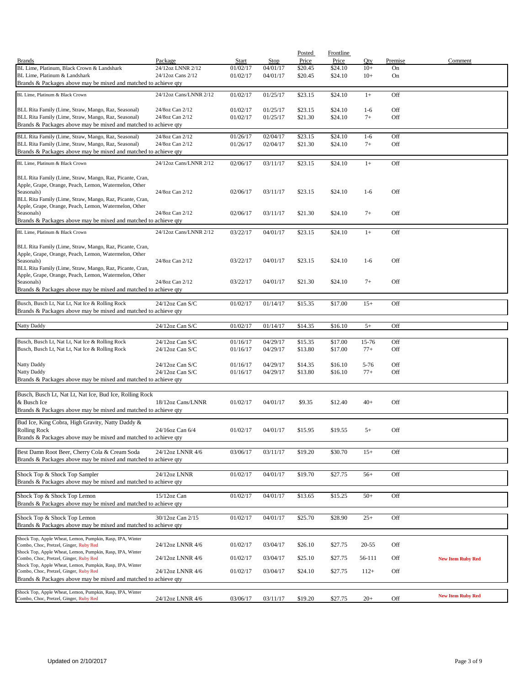|                                                                                                                    |                                    |                      |                      | Posted             | Frontline          |                   |               |                          |
|--------------------------------------------------------------------------------------------------------------------|------------------------------------|----------------------|----------------------|--------------------|--------------------|-------------------|---------------|--------------------------|
| <b>Brands</b><br>BL Lime, Platinum, Black Crown & Landshark                                                        | Package<br>24/12oz LNNR 2/12       | Start<br>01/02/17    | Stop<br>04/01/17     | Price<br>\$20.45   | Price<br>\$24.10   | Qty<br>$10+$      | Premise<br>On | Comment                  |
| BL Lime, Platinum & Landshark                                                                                      | 24/12oz Cans 2/12                  | 01/02/17             | 04/01/17             | \$20.45            | \$24.10            | $10+$             | On            |                          |
| Brands & Packages above may be mixed and matched to achieve qty                                                    |                                    |                      |                      |                    |                    |                   |               |                          |
|                                                                                                                    | 24/12oz Cans/LNNR 2/12             | 01/02/17             |                      |                    |                    |                   |               |                          |
| BL Lime, Platinum & Black Crown                                                                                    |                                    |                      | 01/25/17             | \$23.15            | \$24.10            | $1+$              | Off           |                          |
| BLL Rita Family (Lime, Straw, Mango, Raz, Seasonal)                                                                | 24/8oz Can 2/12                    | 01/02/17             | 01/25/17             | \$23.15            | \$24.10            | $1-6$             | Off           |                          |
| BLL Rita Family (Lime, Straw, Mango, Raz, Seasonal)                                                                | 24/8oz Can 2/12                    | 01/02/17             | 01/25/17             | \$21.30            | \$24.10            | $7+$              | Off           |                          |
| Brands & Packages above may be mixed and matched to achieve qty                                                    |                                    |                      |                      |                    |                    |                   |               |                          |
| BLL Rita Family (Lime, Straw, Mango, Raz, Seasonal)                                                                | 24/8oz Can 2/12                    | 01/26/17             | 02/04/17             | \$23.15            | \$24.10            | $1-6$             | Off           |                          |
| BLL Rita Family (Lime, Straw, Mango, Raz, Seasonal)                                                                | 24/8oz Can 2/12                    | 01/26/17             | 02/04/17             | \$21.30            | \$24.10            | $7+$              | Off           |                          |
| Brands & Packages above may be mixed and matched to achieve qty                                                    |                                    |                      |                      |                    |                    |                   |               |                          |
| BL Lime, Platinum & Black Crown                                                                                    | 24/12oz Cans/LNNR 2/12             | 02/06/17             | 03/11/17             | \$23.15            | \$24.10            | $1+$              | Off           |                          |
|                                                                                                                    |                                    |                      |                      |                    |                    |                   |               |                          |
| BLL Rita Family (Lime, Straw, Mango, Raz, Picante, Cran,                                                           |                                    |                      |                      |                    |                    |                   |               |                          |
| Apple, Grape, Orange, Peach, Lemon, Watermelon, Other                                                              |                                    |                      |                      |                    |                    |                   |               |                          |
| Seasonals)                                                                                                         | 24/8oz Can 2/12                    | 02/06/17             | 03/11/17             | \$23.15            | \$24.10            | $1-6$             | Off           |                          |
| BLL Rita Family (Lime, Straw, Mango, Raz, Picante, Cran,<br>Apple, Grape, Orange, Peach, Lemon, Watermelon, Other  |                                    |                      |                      |                    |                    |                   |               |                          |
| Seasonals)                                                                                                         | 24/8oz Can 2/12                    | 02/06/17             | 03/11/17             | \$21.30            | \$24.10            | $7+$              | Off           |                          |
| Brands & Packages above may be mixed and matched to achieve qty                                                    |                                    |                      |                      |                    |                    |                   |               |                          |
| BL Lime, Platinum & Black Crown                                                                                    | 24/12oz Cans/LNNR 2/12             | 03/22/17             | 04/01/17             | \$23.15            | \$24.10            | $1+$              | Off           |                          |
|                                                                                                                    |                                    |                      |                      |                    |                    |                   |               |                          |
| BLL Rita Family (Lime, Straw, Mango, Raz, Picante, Cran,                                                           |                                    |                      |                      |                    |                    |                   |               |                          |
| Apple, Grape, Orange, Peach, Lemon, Watermelon, Other                                                              |                                    |                      |                      |                    |                    |                   |               |                          |
| Seasonals)<br>BLL Rita Family (Lime, Straw, Mango, Raz, Picante, Cran,                                             | 24/8oz Can 2/12                    | 03/22/17             | 04/01/17             | \$23.15            | \$24.10            | $1-6$             | Off           |                          |
| Apple, Grape, Orange, Peach, Lemon, Watermelon, Other                                                              |                                    |                      |                      |                    |                    |                   |               |                          |
| Seasonals)                                                                                                         | 24/8oz Can 2/12                    | 03/22/17             | 04/01/17             | \$21.30            | \$24.10            | $7+$              | Off           |                          |
| Brands & Packages above may be mixed and matched to achieve qty                                                    |                                    |                      |                      |                    |                    |                   |               |                          |
|                                                                                                                    |                                    |                      |                      |                    |                    |                   |               |                          |
| Busch, Busch Lt, Nat Lt, Nat Ice & Rolling Rock<br>Brands & Packages above may be mixed and matched to achieve qty | 24/12oz Can S/C                    | 01/02/17             | 01/14/17             | \$15.35            | \$17.00            | $15+$             | Off           |                          |
|                                                                                                                    |                                    |                      |                      |                    |                    |                   |               |                          |
| Natty Daddy                                                                                                        | 24/12oz Can S/C                    | 01/02/17             | 01/14/17             | \$14.35            | \$16.10            | $5+$              | Off           |                          |
|                                                                                                                    |                                    |                      |                      |                    |                    |                   |               |                          |
| Busch, Busch Lt, Nat Lt, Nat Ice & Rolling Rock                                                                    | 24/12oz Can S/C                    | 01/16/17             | 04/29/17             | \$15.35            | \$17.00            | 15-76             | Off           |                          |
| Busch, Busch Lt, Nat Lt, Nat Ice & Rolling Rock                                                                    | $24/12$ oz Can S/C                 | 01/16/17             | 04/29/17             | \$13.80            | \$17.00            | $77+$             | Off           |                          |
|                                                                                                                    |                                    |                      |                      |                    |                    |                   |               |                          |
| Natty Daddy<br>Natty Daddy                                                                                         | 24/12oz Can S/C<br>24/12oz Can S/C | 01/16/17<br>01/16/17 | 04/29/17<br>04/29/17 | \$14.35<br>\$13.80 | \$16.10<br>\$16.10 | $5 - 76$<br>$77+$ | Off<br>Off    |                          |
| Brands & Packages above may be mixed and matched to achieve qty                                                    |                                    |                      |                      |                    |                    |                   |               |                          |
|                                                                                                                    |                                    |                      |                      |                    |                    |                   |               |                          |
| Busch, Busch Lt, Nat Lt, Nat Ice, Bud Ice, Rolling Rock                                                            |                                    |                      |                      |                    |                    |                   |               |                          |
| & Busch Ice                                                                                                        | 18/12oz Cans/LNNR                  | 01/02/17             | 04/01/17             | \$9.35             | \$12.40            | $40+$             | Off           |                          |
| Brands & Packages above may be mixed and matched to achieve qty                                                    |                                    |                      |                      |                    |                    |                   |               |                          |
| Bud Ice, King Cobra, High Gravity, Natty Daddy &                                                                   |                                    |                      |                      |                    |                    |                   |               |                          |
| <b>Rolling Rock</b>                                                                                                | 24/16oz Can 6/4                    | 01/02/17             | 04/01/17             | \$15.95            | \$19.55            | $5+$              | Off           |                          |
| Brands & Packages above may be mixed and matched to achieve qty                                                    |                                    |                      |                      |                    |                    |                   |               |                          |
|                                                                                                                    |                                    |                      |                      |                    |                    |                   |               |                          |
| Best Damn Root Beer, Cherry Cola & Cream Soda<br>Brands & Packages above may be mixed and matched to achieve qty   | 24/12oz LNNR 4/6                   | 03/06/17             | 03/11/17             | \$19.20            | \$30.70            | $15+$             | Off           |                          |
|                                                                                                                    |                                    |                      |                      |                    |                    |                   |               |                          |
| Shock Top & Shock Top Sampler                                                                                      | 24/12oz LNNR                       | 01/02/17             | 04/01/17             | \$19.70            | \$27.75            | $56+$             | Off           |                          |
| Brands & Packages above may be mixed and matched to achieve qty                                                    |                                    |                      |                      |                    |                    |                   |               |                          |
|                                                                                                                    |                                    |                      |                      |                    |                    |                   |               |                          |
| Shock Top & Shock Top Lemon                                                                                        | 15/12oz Can                        | 01/02/17             | 04/01/17             | \$13.65            | \$15.25            | $50+$             | Off           |                          |
| Brands & Packages above may be mixed and matched to achieve qty                                                    |                                    |                      |                      |                    |                    |                   |               |                          |
| Shock Top & Shock Top Lemon                                                                                        | 30/12oz Can 2/15                   | 01/02/17             | 04/01/17             | \$25.70            | \$28.90            | $25+$             | Off           |                          |
| Brands & Packages above may be mixed and matched to achieve qty                                                    |                                    |                      |                      |                    |                    |                   |               |                          |
|                                                                                                                    |                                    |                      |                      |                    |                    |                   |               |                          |
| Shock Top, Apple Wheat, Lemon, Pumpkin, Rasp, IPA, Winter<br>Combo, Choc, Pretzel, Ginger, Ruby Red                | 24/12oz LNNR 4/6                   | 01/02/17             | 03/04/17             | \$26.10            | \$27.75            | $20 - 55$         | Off           |                          |
| Shock Top, Apple Wheat, Lemon, Pumpkin, Rasp, IPA, Winter                                                          |                                    |                      |                      |                    |                    |                   |               |                          |
| Combo, Choc, Pretzel, Ginger, Ruby Red                                                                             | 24/12oz LNNR 4/6                   | 01/02/17             | 03/04/17             | \$25.10            | \$27.75            | 56-111            | Off           | <b>New Item Ruby Red</b> |
| Shock Top, Apple Wheat, Lemon, Pumpkin, Rasp, IPA, Winter<br>Combo, Choc, Pretzel, Ginger, Ruby Red                | 24/12oz LNNR 4/6                   | 01/02/17             | 03/04/17             | \$24.10            | \$27.75            | $112+$            | Off           |                          |
| Brands & Packages above may be mixed and matched to achieve qty                                                    |                                    |                      |                      |                    |                    |                   |               |                          |
|                                                                                                                    |                                    |                      |                      |                    |                    |                   |               |                          |
| Shock Top, Apple Wheat, Lemon, Pumpkin, Rasp, IPA, Winter                                                          |                                    |                      |                      |                    |                    |                   |               | <b>New Item Ruby Red</b> |
| Combo, Choc, Pretzel, Ginger, Ruby Red                                                                             | 24/12oz LNNR 4/6                   | 03/06/17             | 03/11/17             | \$19.20            | \$27.75            | $20+$             | Off           |                          |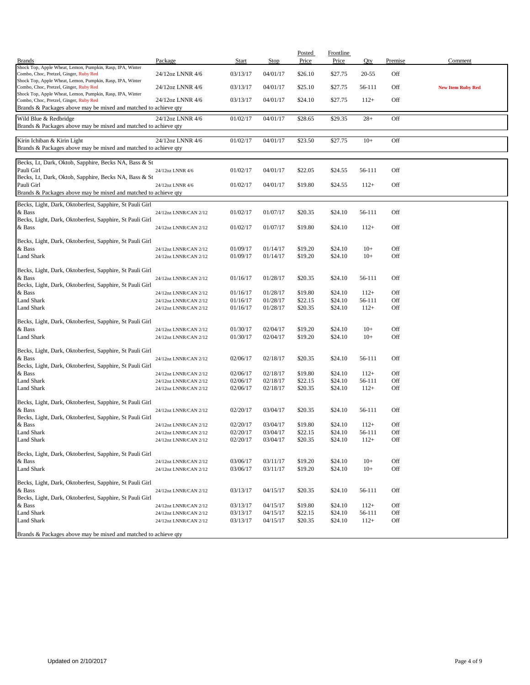|                                                                                                           |                                                |                      |                      | Posted             | Frontline          |                  |            |                          |
|-----------------------------------------------------------------------------------------------------------|------------------------------------------------|----------------------|----------------------|--------------------|--------------------|------------------|------------|--------------------------|
| <b>Brands</b><br>Shock Top, Apple Wheat, Lemon, Pumpkin, Rasp, IPA, Winter                                | Package                                        | <b>Start</b>         | Stop                 | Price              | Price              | Qty              | Premise    | Comment                  |
| Combo, Choc, Pretzel, Ginger, Ruby Red<br>Shock Top, Apple Wheat, Lemon, Pumpkin, Rasp, IPA, Winter       | 24/12oz LNNR 4/6                               | 03/13/17             | 04/01/17             | \$26.10            | \$27.75            | 20-55            | Off        |                          |
| Combo, Choc, Pretzel, Ginger, Ruby Red<br>Shock Top, Apple Wheat, Lemon, Pumpkin, Rasp, IPA, Winter       | 24/12oz LNNR 4/6                               | 03/13/17             | 04/01/17             | \$25.10            | \$27.75            | 56-111           | Off        | <b>New Item Ruby Red</b> |
| Combo, Choc, Pretzel, Ginger, Ruby Red<br>Brands & Packages above may be mixed and matched to achieve qty | 24/12oz LNNR 4/6                               | 03/13/17             | 04/01/17             | \$24.10            | \$27.75            | $112+$           | Off        |                          |
| Wild Blue & Redbridge                                                                                     | 24/12oz LNNR 4/6                               | 01/02/17             | 04/01/17             | \$28.65            | \$29.35            | $28+$            | Off        |                          |
| Brands & Packages above may be mixed and matched to achieve qty                                           |                                                |                      |                      |                    |                    |                  |            |                          |
| Kirin Ichiban & Kirin Light<br>Brands & Packages above may be mixed and matched to achieve qty            | 24/12oz LNNR 4/6                               | 01/02/17             | 04/01/17             | \$23.50            | \$27.75            | $10+$            | Off        |                          |
| Becks, Lt, Dark, Oktob, Sapphire, Becks NA, Bass & St<br>Pauli Girl                                       | 24/12oz LNNR 4/6                               | 01/02/17             | 04/01/17             | \$22.05            | \$24.55            | 56-111           | Off        |                          |
| Becks, Lt, Dark, Oktob, Sapphire, Becks NA, Bass & St<br>Pauli Girl                                       |                                                | 01/02/17             | 04/01/17             | \$19.80            | \$24.55            | $112+$           | Off        |                          |
| Brands & Packages above may be mixed and matched to achieve qty                                           | 24/12oz LNNR 4/6                               |                      |                      |                    |                    |                  |            |                          |
| Becks, Light, Dark, Oktoberfest, Sapphire, St Pauli Girl                                                  |                                                |                      |                      |                    |                    |                  |            |                          |
| & Bass<br>Becks, Light, Dark, Oktoberfest, Sapphire, St Pauli Girl                                        | 24/12oz LNNR/CAN 2/12                          | 01/02/17             | 01/07/17             | \$20.35            | \$24.10            | 56-111           | Off        |                          |
| & Bass                                                                                                    | 24/12oz LNNR/CAN 2/12                          | 01/02/17             | 01/07/17             | \$19.80            | \$24.10            | $112+$           | Off        |                          |
| Becks, Light, Dark, Oktoberfest, Sapphire, St Pauli Girl                                                  |                                                |                      |                      |                    |                    |                  |            |                          |
| & Bass                                                                                                    | 24/12oz LNNR/CAN 2/12                          | 01/09/17             | 01/14/17             | \$19.20            | \$24.10            | $10+$            | Off        |                          |
| Land Shark                                                                                                | 24/12oz LNNR/CAN 2/12                          | 01/09/17             | 01/14/17             | \$19.20            | \$24.10            | $10+$            | Off        |                          |
| Becks, Light, Dark, Oktoberfest, Sapphire, St Pauli Girl                                                  |                                                | 01/16/17             |                      |                    |                    |                  |            |                          |
| & Bass<br>Becks, Light, Dark, Oktoberfest, Sapphire, St Pauli Girl                                        | 24/12oz LNNR/CAN 2/12                          |                      | 01/28/17             | \$20.35            | \$24.10            | 56-111           | Off        |                          |
| & Bass                                                                                                    | 24/12oz LNNR/CAN 2/12                          | 01/16/17             | 01/28/17             | \$19.80            | \$24.10            | $112+$           | Off        |                          |
| <b>Land Shark</b>                                                                                         | 24/12oz LNNR/CAN 2/12                          | 01/16/17             | 01/28/17             | \$22.15            | \$24.10            | 56-111           | Off        |                          |
| Land Shark                                                                                                | 24/12oz LNNR/CAN 2/12                          | 01/16/17             | 01/28/17             | \$20.35            | \$24.10            | $112+$           | Off        |                          |
| Becks, Light, Dark, Oktoberfest, Sapphire, St Pauli Girl                                                  |                                                |                      |                      |                    |                    |                  |            |                          |
| & Bass                                                                                                    | 24/12oz LNNR/CAN 2/12                          | 01/30/17             | 02/04/17             | \$19.20            | \$24.10            | $10+$            | Off        |                          |
| Land Shark                                                                                                | 24/12oz LNNR/CAN 2/12                          | 01/30/17             | 02/04/17             | \$19.20            | \$24.10            | $10+$            | Off        |                          |
| Becks, Light, Dark, Oktoberfest, Sapphire, St Pauli Girl                                                  |                                                |                      |                      |                    |                    |                  |            |                          |
| & Bass                                                                                                    | 24/12oz LNNR/CAN 2/12                          | 02/06/17             | 02/18/17             | \$20.35            | \$24.10            | 56-111           | Off        |                          |
| Becks, Light, Dark, Oktoberfest, Sapphire, St Pauli Girl<br>& Bass                                        | 24/12oz LNNR/CAN 2/12                          | 02/06/17             | 02/18/17             | \$19.80            | \$24.10            | $112+$           | Off        |                          |
| <b>Land Shark</b>                                                                                         | 24/12oz LNNR/CAN 2/12                          | 02/06/17             | 02/18/17             | \$22.15            | \$24.10            | 56-111           | Off        |                          |
| Land Shark                                                                                                | 24/12oz LNNR/CAN 2/12                          | 02/06/17             | 02/18/17             | \$20.35            | \$24.10            | $112+$           | Off        |                          |
|                                                                                                           |                                                |                      |                      |                    |                    |                  |            |                          |
| Becks, Light, Dark, Oktoberfest, Sapphire, St Pauli Girl<br>& Bass                                        | 24/12oz LNNR/CAN 2/12                          | 02/20/17             | 03/04/17             | \$20.35            | \$24.10            | 56-111           | Off        |                          |
| Becks, Light, Dark, Oktoberfest, Sapphire, St Pauli Girl                                                  |                                                |                      |                      |                    |                    |                  |            |                          |
| & Bass                                                                                                    | 24/12oz LNNR/CAN 2/12                          | 02/20/17             | 03/04/17             | \$19.80            | \$24.10            | $112+$           | Off        |                          |
| <b>Land Shark</b>                                                                                         | 24/12oz LNNR/CAN 2/12                          | 02/20/17             | 03/04/17             | \$22.15            | \$24.10            | 56-111           | Off        |                          |
| Land Shark                                                                                                | 24/12oz LNNR/CAN 2/12                          | 02/20/17             | 03/04/17             | \$20.35            | \$24.10            | $112+$           | Off        |                          |
| Becks, Light, Dark, Oktoberfest, Sapphire, St Pauli Girl                                                  |                                                |                      |                      |                    |                    |                  |            |                          |
| & Bass                                                                                                    | 24/12oz LNNR/CAN 2/12                          | 03/06/17             | 03/11/17             | \$19.20            | \$24.10            | $10+$            | Off        |                          |
| Land Shark                                                                                                | 24/12oz LNNR/CAN 2/12                          | 03/06/17             | 03/11/17             | \$19.20            | \$24.10            | $10+$            | Off        |                          |
| Becks, Light, Dark, Oktoberfest, Sapphire, St Pauli Girl                                                  |                                                |                      |                      |                    |                    |                  |            |                          |
| & Bass                                                                                                    | 24/12oz LNNR/CAN 2/12                          | 03/13/17             | 04/15/17             | \$20.35            | \$24.10            | 56-111           | Off        |                          |
| Becks, Light, Dark, Oktoberfest, Sapphire, St Pauli Girl<br>& Bass                                        |                                                |                      |                      |                    |                    |                  |            |                          |
| Land Shark                                                                                                | 24/12oz LNNR/CAN 2/12<br>24/12oz LNNR/CAN 2/12 | 03/13/17<br>03/13/17 | 04/15/17<br>04/15/17 | \$19.80<br>\$22.15 | \$24.10<br>\$24.10 | $112+$<br>56-111 | Off<br>Off |                          |
| Land Shark                                                                                                | 24/12oz LNNR/CAN 2/12                          | 03/13/17             | 04/15/17             | \$20.35            | \$24.10            | $112+$           | Off        |                          |
| Brands & Packages above may be mixed and matched to achieve qty                                           |                                                |                      |                      |                    |                    |                  |            |                          |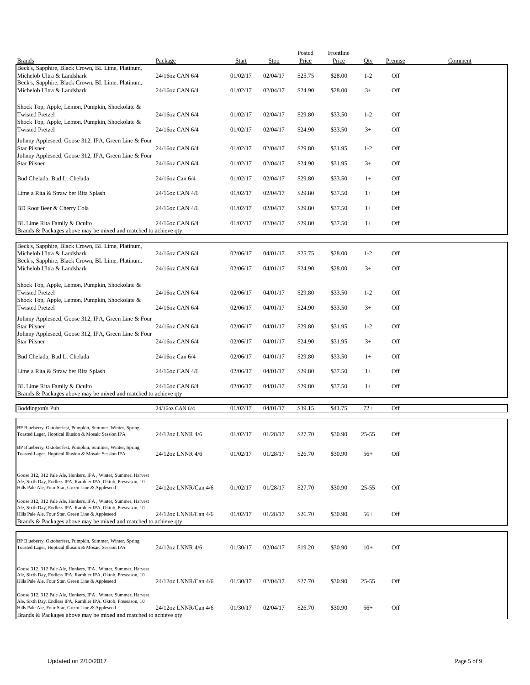| <b>Brands</b>                                                                                                                                                                                                                                            | Package              | Start    | <b>Stop</b> | Posted<br>Price | <b>Frontline</b><br>Price | Qty       | Premise | Comment |
|----------------------------------------------------------------------------------------------------------------------------------------------------------------------------------------------------------------------------------------------------------|----------------------|----------|-------------|-----------------|---------------------------|-----------|---------|---------|
| Beck's, Sapphire, Black Crown, BL Lime, Platinum,<br>Michelob Ultra & Landshark                                                                                                                                                                          | 24/16oz CAN 6/4      | 01/02/17 | 02/04/17    | \$25.75         | \$28.00                   | $1 - 2$   | Off     |         |
| Beck's, Sapphire, Black Crown, BL Lime, Platinum,<br>Michelob Ultra & Landshark                                                                                                                                                                          | 24/16oz CAN 6/4      | 01/02/17 | 02/04/17    | \$24.90         | \$28.00                   | $3+$      | Off     |         |
| Shock Top, Apple, Lemon, Pumpkin, Shockolate &                                                                                                                                                                                                           |                      |          |             |                 |                           |           |         |         |
| <b>Twisted Pretzel</b><br>Shock Top, Apple, Lemon, Pumpkin, Shockolate &                                                                                                                                                                                 | 24/16oz CAN 6/4      | 01/02/17 | 02/04/17    | \$29.80         | \$33.50                   | $1 - 2$   | Off     |         |
| <b>Twisted Pretzel</b><br>Johnny Appleseed, Goose 312, IPA, Green Line & Four                                                                                                                                                                            | 24/16oz CAN 6/4      | 01/02/17 | 02/04/17    | \$24.90         | \$33.50                   | $3+$      | Off     |         |
| <b>Star Pilsner</b><br>Johnny Appleseed, Goose 312, IPA, Green Line & Four                                                                                                                                                                               | 24/16oz CAN 6/4      | 01/02/17 | 02/04/17    | \$29.80         | \$31.95                   | $1 - 2$   | Off     |         |
| <b>Star Pilsner</b>                                                                                                                                                                                                                                      | 24/16oz CAN 6/4      | 01/02/17 | 02/04/17    | \$24.90         | \$31.95                   | $3+$      | Off     |         |
| Bud Chelada, Bud Lt Chelada                                                                                                                                                                                                                              | 24/16oz Can 6/4      | 01/02/17 | 02/04/17    | \$29.80         | \$33.50                   | $1+$      | Off     |         |
| Lime a Rita & Straw ber Rita Splash                                                                                                                                                                                                                      | 24/16oz CAN 4/6      | 01/02/17 | 02/04/17    | \$29.80         | \$37.50                   | $1+$      | Off     |         |
| BD Root Beer & Cherry Cola                                                                                                                                                                                                                               | 24/16oz CAN 4/6      | 01/02/17 | 02/04/17    | \$29.80         | \$37.50                   | $1+$      | Off     |         |
| BL Lime Rita Family & Oculto<br>Brands & Packages above may be mixed and matched to achieve qty                                                                                                                                                          | 24/16oz CAN 6/4      | 01/02/17 | 02/04/17    | \$29.80         | \$37.50                   | $1+$      | Off     |         |
| Beck's, Sapphire, Black Crown, BL Lime, Platinum,                                                                                                                                                                                                        |                      |          |             |                 |                           |           |         |         |
| Michelob Ultra & Landshark<br>Beck's, Sapphire, Black Crown, BL Lime, Platinum,                                                                                                                                                                          | 24/16oz CAN 6/4      | 02/06/17 | 04/01/17    | \$25.75         | \$28.00                   | $1 - 2$   | Off     |         |
| Michelob Ultra & Landshark                                                                                                                                                                                                                               | 24/16oz CAN 6/4      | 02/06/17 | 04/01/17    | \$24.90         | \$28.00                   | $3+$      | Off     |         |
| Shock Top, Apple, Lemon, Pumpkin, Shockolate &<br><b>Twisted Pretzel</b>                                                                                                                                                                                 | 24/16oz CAN 6/4      | 02/06/17 | 04/01/17    | \$29.80         | \$33.50                   | $1 - 2$   | Off     |         |
| Shock Top, Apple, Lemon, Pumpkin, Shockolate &<br><b>Twisted Pretzel</b>                                                                                                                                                                                 | 24/16oz CAN 6/4      | 02/06/17 | 04/01/17    | \$24.90         | \$33.50                   | $3+$      | Off     |         |
| Johnny Appleseed, Goose 312, IPA, Green Line & Four                                                                                                                                                                                                      |                      |          |             |                 |                           |           |         |         |
| <b>Star Pilsner</b><br>Johnny Appleseed, Goose 312, IPA, Green Line & Four                                                                                                                                                                               | 24/16oz CAN 6/4      | 02/06/17 | 04/01/17    | \$29.80         | \$31.95                   | $1 - 2$   | Off     |         |
| <b>Star Pilsner</b>                                                                                                                                                                                                                                      | 24/16oz CAN 6/4      | 02/06/17 | 04/01/17    | \$24.90         | \$31.95                   | $3+$      | Off     |         |
| Bud Chelada, Bud Lt Chelada                                                                                                                                                                                                                              | 24/16oz Can 6/4      | 02/06/17 | 04/01/17    | \$29.80         | \$33.50                   | $1+$      | Off     |         |
| Lime a Rita & Straw ber Rita Splash                                                                                                                                                                                                                      | 24/16oz CAN 4/6      | 02/06/17 | 04/01/17    | \$29.80         | \$37.50                   | $1+$      | Off     |         |
| BL Lime Rita Family & Oculto<br>Brands & Packages above may be mixed and matched to achieve qty                                                                                                                                                          | 24/16oz CAN 6/4      | 02/06/17 | 04/01/17    | \$29.80         | \$37.50                   | $1+$      | Off     |         |
| <b>Boddington's Pub</b>                                                                                                                                                                                                                                  | 24/16oz CAN 6/4      | 01/02/17 | 04/01/17    | \$39.15         | \$41.75                   | $72+$     | Off     |         |
| BP Blueberry, Oktoberfest, Pumpkin, Summer, Winter, Spring,                                                                                                                                                                                              |                      |          |             |                 |                           |           |         |         |
| Toasted Lager, Hoptical Illusion & Mosaic Session IPA                                                                                                                                                                                                    | 24/12oz LNNR 4/6     | 01/02/17 | 01/28/17    | \$27.70         | \$30.90                   | $25 - 55$ | Off     |         |
| BP Blueberry, Oktoberfest, Pumpkin, Summer, Winter, Spring,<br>Toasted Lager, Hoptical Illusion & Mosaic Session IPA                                                                                                                                     | 24/12oz LNNR 4/6     | 01/02/17 | 01/28/17    | \$26.70         | \$30.90                   | $56+$     | Off     |         |
| Goose 312, 312 Pale Ale, Honkers, IPA, Winter, Summer, Harvest                                                                                                                                                                                           |                      |          |             |                 |                           |           |         |         |
| Ale, Sixth Day, Endless IPA, Rambler IPA, Oktob, Preseason, 10<br>Hills Pale Ale, Four Star, Green Line & Appleseed                                                                                                                                      | 24/12oz LNNR/Can 4/6 | 01/02/17 | 01/28/17    | \$27.70         | \$30.90                   | $25 - 55$ | Off     |         |
| Goose 312, 312 Pale Ale, Honkers, IPA, Winter, Summer, Harvest<br>Ale, Sixth Day, Endless IPA, Rambler IPA, Oktob, Preseason, 10<br>Hills Pale Ale, Four Star, Green Line & Appleseed                                                                    | 24/12oz LNNR/Can 4/6 | 01/02/17 | 01/28/17    | \$26.70         | \$30.90                   | $56+$     | Off     |         |
| Brands & Packages above may be mixed and matched to achieve qty                                                                                                                                                                                          |                      |          |             |                 |                           |           |         |         |
| BP Blueberry, Oktoberfest, Pumpkin, Summer, Winter, Spring,<br>Toasted Lager, Hoptical Illusion & Mosaic Session IPA                                                                                                                                     | 24/12oz LNNR 4/6     | 01/30/17 | 02/04/17    | \$19.20         | \$30.90                   | $10+$     | Off     |         |
| Goose 312, 312 Pale Ale, Honkers, IPA, Winter, Summer, Harvest<br>Ale, Sixth Day, Endless IPA, Rambler IPA, Oktob, Preseason, 10<br>Hills Pale Ale, Four Star, Green Line & Appleseed                                                                    | 24/12oz LNNR/Can 4/6 | 01/30/17 | 02/04/17    | \$27.70         | \$30.90                   | $25 - 55$ | Off     |         |
| Goose 312, 312 Pale Ale, Honkers, IPA, Winter, Summer, Harvest<br>Ale, Sixth Day, Endless IPA, Rambler IPA, Oktob, Preseason, 10<br>Hills Pale Ale, Four Star, Green Line & Appleseed<br>Brands & Packages above may be mixed and matched to achieve qty | 24/12oz LNNR/Can 4/6 | 01/30/17 | 02/04/17    | \$26.70         | \$30.90                   | $56+$     | Off     |         |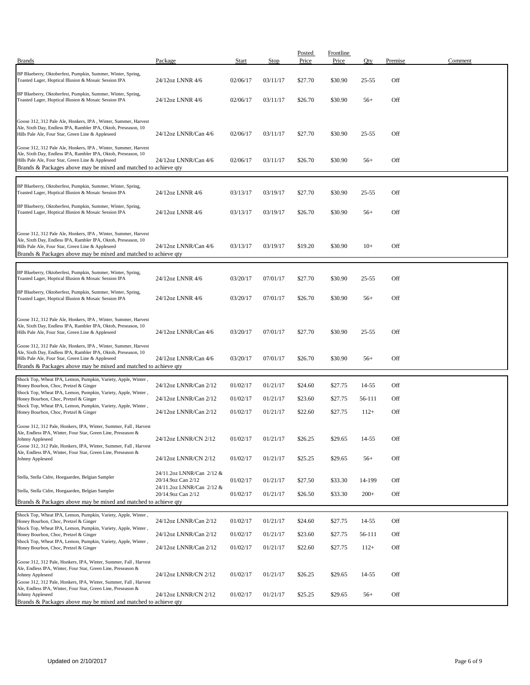| <b>Brands</b>                                                                                                                                                                                                                                            | Package                                         | Start    | Stop     | Posted<br>Price | <b>Frontline</b><br>Price | Oty       | Premise | Comment |
|----------------------------------------------------------------------------------------------------------------------------------------------------------------------------------------------------------------------------------------------------------|-------------------------------------------------|----------|----------|-----------------|---------------------------|-----------|---------|---------|
| BP Blueberry, Oktoberfest, Pumpkin, Summer, Winter, Spring,<br>Toasted Lager, Hoptical Illusion & Mosaic Session IPA                                                                                                                                     | 24/12oz LNNR 4/6                                | 02/06/17 | 03/11/17 | \$27.70         | \$30.90                   | 25-55     | Off     |         |
| BP Blueberry, Oktoberfest, Pumpkin, Summer, Winter, Spring,<br>Toasted Lager, Hoptical Illusion & Mosaic Session IPA                                                                                                                                     | 24/12oz LNNR 4/6                                | 02/06/17 | 03/11/17 | \$26.70         | \$30.90                   | $56+$     | Off     |         |
| Goose 312, 312 Pale Ale, Honkers, IPA, Winter, Summer, Harvest<br>Ale, Sixth Day, Endless IPA, Rambler IPA, Oktob, Preseason, 10<br>Hills Pale Ale, Four Star, Green Line & Appleseed                                                                    | 24/12oz LNNR/Can 4/6                            | 02/06/17 | 03/11/17 | \$27.70         | \$30.90                   | $25 - 55$ | Off     |         |
| Goose 312, 312 Pale Ale, Honkers, IPA, Winter, Summer, Harvest<br>Ale, Sixth Day, Endless IPA, Rambler IPA, Oktob, Preseason, 10<br>Hills Pale Ale, Four Star, Green Line & Appleseed<br>Brands & Packages above may be mixed and matched to achieve qty | 24/12oz LNNR/Can 4/6                            | 02/06/17 | 03/11/17 | \$26.70         | \$30.90                   | $56+$     | Off     |         |
| BP Blueberry, Oktoberfest, Pumpkin, Summer, Winter, Spring,<br>Toasted Lager, Hoptical Illusion & Mosaic Session IPA                                                                                                                                     | 24/12oz LNNR 4/6                                | 03/13/17 | 03/19/17 | \$27.70         | \$30.90                   | $25 - 55$ | Off     |         |
| BP Blueberry, Oktoberfest, Pumpkin, Summer, Winter, Spring,<br>Toasted Lager, Hoptical Illusion & Mosaic Session IPA                                                                                                                                     | 24/12oz LNNR 4/6                                | 03/13/17 | 03/19/17 | \$26.70         | \$30.90                   | $56+$     | Off     |         |
| Goose 312, 312 Pale Ale, Honkers, IPA, Winter, Summer, Harvest<br>Ale, Sixth Day, Endless IPA, Rambler IPA, Oktob, Preseason, 10<br>Hills Pale Ale, Four Star, Green Line & Appleseed<br>Brands & Packages above may be mixed and matched to achieve qty | 24/12oz LNNR/Can 4/6                            | 03/13/17 | 03/19/17 | \$19.20         | \$30.90                   | $10+$     | Off     |         |
| BP Blueberry, Oktoberfest, Pumpkin, Summer, Winter, Spring,<br>Toasted Lager, Hoptical Illusion & Mosaic Session IPA                                                                                                                                     | 24/12oz LNNR 4/6                                | 03/20/17 | 07/01/17 | \$27.70         | \$30.90                   | $25 - 55$ | Off     |         |
| BP Blueberry, Oktoberfest, Pumpkin, Summer, Winter, Spring,<br>Toasted Lager, Hoptical Illusion & Mosaic Session IPA                                                                                                                                     | 24/12oz LNNR 4/6                                | 03/20/17 | 07/01/17 | \$26.70         | \$30.90                   | $56+$     | Off     |         |
| Goose 312, 312 Pale Ale, Honkers, IPA, Winter, Summer, Harvest<br>Ale, Sixth Day, Endless IPA, Rambler IPA, Oktob, Preseason, 10<br>Hills Pale Ale, Four Star, Green Line & Appleseed                                                                    | 24/12oz LNNR/Can 4/6                            | 03/20/17 | 07/01/17 | \$27.70         | \$30.90                   | $25 - 55$ | Off     |         |
| Goose 312, 312 Pale Ale, Honkers, IPA, Winter, Summer, Harvest<br>Ale, Sixth Day, Endless IPA, Rambler IPA, Oktob, Preseason, 10<br>Hills Pale Ale, Four Star, Green Line & Appleseed<br>Brands & Packages above may be mixed and matched to achieve qty | 24/12oz LNNR/Can 4/6                            | 03/20/17 | 07/01/17 | \$26.70         | \$30.90                   | $56+$     | Off     |         |
| Shock Top, Wheat IPA, Lemon, Pumpkin, Variety, Apple, Winter,<br>Honey Bourbon, Choc, Pretzel & Ginger                                                                                                                                                   | 24/12oz LNNR/Can 2/12                           | 01/02/17 | 01/21/17 | \$24.60         | \$27.75                   | 14-55     | Off     |         |
| Shock Top, Wheat IPA, Lemon, Pumpkin, Variety, Apple, Winter,<br>Honey Bourbon, Choc, Pretzel & Ginger                                                                                                                                                   | 24/12oz LNNR/Can 2/12                           | 01/02/17 | 01/21/17 | \$23.60         | \$27.75                   | 56-111    | Off     |         |
| Shock Top, Wheat IPA, Lemon, Pumpkin, Variety, Apple, Winter,<br>Honey Bourbon, Choc, Pretzel & Ginger                                                                                                                                                   | 24/12oz LNNR/Can 2/12                           | 01/02/17 | 01/21/17 | \$22.60         | \$27.75                   | $112+$    | Off     |         |
| Goose 312, 312 Pale, Honkers, IPA, Winter, Summer, Fall, Harvest<br>Ale, Endless IPA, Winter, Four Star, Green Line, Preseason &<br>Johnny Appleseed                                                                                                     | 24/12oz LNNR/CN 2/12                            | 01/02/17 | 01/21/17 | \$26.25         | \$29.65                   | 14-55     | Off     |         |
| Goose 312, 312 Pale, Honkers, IPA, Winter, Summer, Fall, Harvest<br>Ale, Endless IPA, Winter, Four Star, Green Line, Preseason &<br>Johnny Appleseed                                                                                                     | 24/12oz LNNR/CN 2/12                            | 01/02/17 | 01/21/17 | \$25.25         | \$29.65                   | $56+$     | Off     |         |
| Stella, Stella Cidre, Hoegaarden, Belgian Sampler                                                                                                                                                                                                        | 24/11.2oz LNNR/Can 2/12 &<br>20/14.9oz Can 2/12 | 01/02/17 | 01/21/17 | \$27.50         | \$33.30                   | 14-199    | Off     |         |
| Stella, Stella Cidre, Hoegaarden, Belgian Sampler                                                                                                                                                                                                        | 24/11.2oz LNNR/Can 2/12 &<br>20/14.9oz Can 2/12 | 01/02/17 | 01/21/17 | \$26.50         | \$33.30                   | $200+$    | Off     |         |
| Brands & Packages above may be mixed and matched to achieve qty                                                                                                                                                                                          |                                                 |          |          |                 |                           |           |         |         |
| Shock Top, Wheat IPA, Lemon, Pumpkin, Variety, Apple, Winter,<br>Honey Bourbon, Choc, Pretzel & Ginger                                                                                                                                                   | 24/12oz LNNR/Can 2/12                           | 01/02/17 | 01/21/17 | \$24.60         | \$27.75                   | 14-55     | Off     |         |
| Shock Top, Wheat IPA, Lemon, Pumpkin, Variety, Apple, Winter,<br>Honey Bourbon, Choc, Pretzel & Ginger                                                                                                                                                   | 24/12oz LNNR/Can 2/12                           | 01/02/17 | 01/21/17 | \$23.60         | \$27.75                   | 56-111    | Off     |         |
| Shock Top, Wheat IPA, Lemon, Pumpkin, Variety, Apple, Winter,<br>Honey Bourbon, Choc, Pretzel & Ginger                                                                                                                                                   | 24/12oz LNNR/Can 2/12                           | 01/02/17 | 01/21/17 | \$22.60         | \$27.75                   | $112+$    | Off     |         |
| Goose 312, 312 Pale, Honkers, IPA, Winter, Summer, Fall, Harvest<br>Ale, Endless IPA, Winter, Four Star, Green Line, Preseason &<br>Johnny Appleseed<br>Goose 312, 312 Pale, Honkers, IPA, Winter, Summer, Fall, Harvest                                 | 24/12oz LNNR/CN 2/12                            | 01/02/17 | 01/21/17 | \$26.25         | \$29.65                   | 14-55     | Off     |         |
| Ale, Endless IPA, Winter, Four Star, Green Line, Preseason &<br>Johnny Appleseed<br>Brands & Packages above may be mixed and matched to achieve qty                                                                                                      | 24/12oz LNNR/CN 2/12                            | 01/02/17 | 01/21/17 | \$25.25         | \$29.65                   | $56+$     | Off     |         |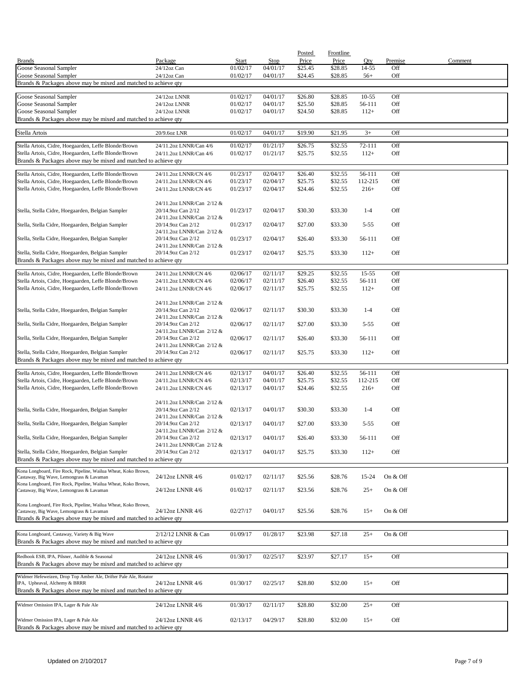|                                                                                                  |                                                 |                      |                      | Posted             | <b>Frontline</b>   |                |            |         |
|--------------------------------------------------------------------------------------------------|-------------------------------------------------|----------------------|----------------------|--------------------|--------------------|----------------|------------|---------|
| <b>Brands</b>                                                                                    | Package                                         | Start                | Stop                 | Price              | Price              | Qty            | Premise    | Comment |
| Goose Seasonal Sampler<br>Goose Seasonal Sampler                                                 | 24/12oz Can<br>24/12oz Can                      | 01/02/17<br>01/02/17 | 04/01/17<br>04/01/17 | \$25.45<br>\$24.45 | \$28.85<br>\$28.85 | 14-55<br>$56+$ | Off<br>Off |         |
| Brands & Packages above may be mixed and matched to achieve qty                                  |                                                 |                      |                      |                    |                    |                |            |         |
|                                                                                                  |                                                 |                      |                      |                    |                    |                |            |         |
| Goose Seasonal Sampler                                                                           | 24/12oz LNNR                                    | 01/02/17             | 04/01/17             | \$26.80            | \$28.85            | $10 - 55$      | Off        |         |
| Goose Seasonal Sampler                                                                           | 24/12oz LNNR                                    | 01/02/17             | 04/01/17             | \$25.50            | \$28.85            | 56-111         | Off        |         |
| Goose Seasonal Sampler                                                                           | 24/12oz LNNR                                    | 01/02/17             | 04/01/17             | \$24.50            | \$28.85            | $112+$         | Off        |         |
| Brands & Packages above may be mixed and matched to achieve qty                                  |                                                 |                      |                      |                    |                    |                |            |         |
| Stella Artois                                                                                    | 20/9.6oz LNR                                    | 01/02/17             | 04/01/17             | \$19.90            | \$21.95            | $3+$           | Off        |         |
| Stella Artois, Cidre, Hoegaarden, Leffe Blonde/Brown                                             | 24/11.2oz LNNR/Can 4/6                          | 01/02/17             | 01/21/17             | \$26.75            | \$32.55            | 72-111         | Off        |         |
| Stella Artois, Cidre, Hoegaarden, Leffe Blonde/Brown                                             | 24/11.2oz LNNR/Can 4/6                          | 01/02/17             | 01/21/17             | \$25.75            | \$32.55            | $112+$         | Off        |         |
| Brands & Packages above may be mixed and matched to achieve qty                                  |                                                 |                      |                      |                    |                    |                |            |         |
| Stella Artois, Cidre, Hoegaarden, Leffe Blonde/Brown                                             | 24/11.2oz LNNR/CN 4/6                           | 01/23/17             | 02/04/17             | \$26.40            | \$32.55            | 56-111         | Off        |         |
| Stella Artois, Cidre, Hoegaarden, Leffe Blonde/Brown                                             | 24/11.2oz LNNR/CN 4/6                           | 01/23/17             | 02/04/17             | \$25.75            | \$32.55            | 112-215        | Off        |         |
| Stella Artois, Cidre, Hoegaarden, Leffe Blonde/Brown                                             | 24/11.2oz LNNR/CN 4/6                           | 01/23/17             | 02/04/17             | \$24.46            | \$32.55            | $216+$         | Off        |         |
|                                                                                                  |                                                 |                      |                      |                    |                    |                |            |         |
|                                                                                                  | 24/11.2oz LNNR/Can 2/12 &                       |                      |                      |                    |                    |                |            |         |
| Stella, Stella Cidre, Hoegaarden, Belgian Sampler                                                | 20/14.9oz Can 2/12                              | 01/23/17             | 02/04/17             | \$30.30            | \$33.30            | $1 - 4$        | Off        |         |
|                                                                                                  | 24/11.2oz LNNR/Can 2/12 &                       |                      |                      |                    |                    |                |            |         |
| Stella, Stella Cidre, Hoegaarden, Belgian Sampler                                                | 20/14.9oz Can 2/12<br>24/11.2oz LNNR/Can 2/12 & | 01/23/17             | 02/04/17             | \$27.00            | \$33.30            | $5 - 55$       | Off        |         |
| Stella, Stella Cidre, Hoegaarden, Belgian Sampler                                                | 20/14.9oz Can 2/12                              | 01/23/17             | 02/04/17             | \$26.40            | \$33.30            | 56-111         | Off        |         |
|                                                                                                  | 24/11.2oz LNNR/Can 2/12 &                       |                      |                      |                    |                    |                |            |         |
| Stella, Stella Cidre, Hoegaarden, Belgian Sampler                                                | 20/14.9oz Can 2/12                              | 01/23/17             | 02/04/17             | \$25.75            | \$33.30            | $112+$         | Off        |         |
| Brands & Packages above may be mixed and matched to achieve qty                                  |                                                 |                      |                      |                    |                    |                |            |         |
| Stella Artois, Cidre, Hoegaarden, Leffe Blonde/Brown                                             | 24/11.2oz LNNR/CN 4/6                           | 02/06/17             | 02/11/17             | \$29.25            | \$32.55            | $15 - 55$      | Off        |         |
| Stella Artois, Cidre, Hoegaarden, Leffe Blonde/Brown                                             | 24/11.2oz LNNR/CN 4/6                           | 02/06/17             | 02/11/17             | \$26.40            | \$32.55            | 56-111         | Off        |         |
| Stella Artois, Cidre, Hoegaarden, Leffe Blonde/Brown                                             | 24/11.2oz LNNR/CN 4/6                           | 02/06/17             | 02/11/17             | \$25.75            | \$32.55            | $112+$         | Off        |         |
|                                                                                                  |                                                 |                      |                      |                    |                    |                |            |         |
|                                                                                                  | 24/11.2oz LNNR/Can 2/12 &                       |                      |                      |                    |                    |                |            |         |
| Stella, Stella Cidre, Hoegaarden, Belgian Sampler                                                | 20/14.9oz Can 2/12                              | 02/06/17             | 02/11/17             | \$30.30            | \$33.30            | $1 - 4$        | Off        |         |
|                                                                                                  | 24/11.2oz LNNR/Can 2/12 &                       |                      |                      |                    |                    |                |            |         |
| Stella, Stella Cidre, Hoegaarden, Belgian Sampler                                                | 20/14.9oz Can 2/12<br>24/11.2oz LNNR/Can 2/12 & | 02/06/17             | 02/11/17             | \$27.00            | \$33.30            | $5 - 55$       | Off        |         |
| Stella, Stella Cidre, Hoegaarden, Belgian Sampler                                                | 20/14.9oz Can 2/12                              | 02/06/17             | 02/11/17             | \$26.40            | \$33.30            | 56-111         | Off        |         |
|                                                                                                  | 24/11.2oz LNNR/Can 2/12 &                       |                      |                      |                    |                    |                |            |         |
| Stella, Stella Cidre, Hoegaarden, Belgian Sampler                                                | 20/14.9oz Can 2/12                              | 02/06/17             | 02/11/17             | \$25.75            | \$33.30            | $112+$         | Off        |         |
| Brands & Packages above may be mixed and matched to achieve qty                                  |                                                 |                      |                      |                    |                    |                |            |         |
| Stella Artois, Cidre, Hoegaarden, Leffe Blonde/Brown                                             | 24/11.2oz LNNR/CN 4/6                           | 02/13/17             | 04/01/17             | \$26.40            | \$32.55            | 56-111         | Off        |         |
| Stella Artois, Cidre, Hoegaarden, Leffe Blonde/Brown                                             | 24/11.2oz LNNR/CN 4/6                           | 02/13/17             | 04/01/17             | \$25.75            | \$32.55            | 112-215        | Off        |         |
| Stella Artois, Cidre, Hoegaarden, Leffe Blonde/Brown                                             | 24/11.2oz LNNR/CN 4/6                           | 02/13/17             | 04/01/17             | \$24.46            | \$32.55            | $216+$         | Off        |         |
|                                                                                                  |                                                 |                      |                      |                    |                    |                |            |         |
|                                                                                                  | 24/11.2oz LNNR/Can 2/12 &                       |                      |                      |                    |                    |                |            |         |
| Stella, Stella Cidre, Hoegaarden, Belgian Sampler                                                | 20/14.9oz Can 2/12                              | 02/13/17             | 04/01/17             | \$30.30            | \$33.30            | $1 - 4$        | Off        |         |
|                                                                                                  | 24/11.2oz LNNR/Can 2/12 &                       |                      |                      |                    |                    |                |            |         |
| Stella, Stella Cidre, Hoegaarden, Belgian Sampler                                                | 20/14.9oz Can 2/12<br>24/11.2oz LNNR/Can 2/12 & | 02/13/17             | 04/01/17             | \$27.00            | \$33.30            | 5-55           | Off        |         |
| Stella, Stella Cidre, Hoegaarden, Belgian Sampler                                                | 20/14.9oz Can 2/12                              | 02/13/17             | 04/01/17             | \$26.40            | \$33.30            | 56-111         | Off        |         |
|                                                                                                  | 24/11.2oz LNNR/Can 2/12 &                       |                      |                      |                    |                    |                |            |         |
| Stella, Stella Cidre, Hoegaarden, Belgian Sampler                                                | 20/14.9oz Can 2/12                              | 02/13/17             | 04/01/17             | \$25.75            | \$33.30            | $112+$         | Off        |         |
| Brands & Packages above may be mixed and matched to achieve qty                                  |                                                 |                      |                      |                    |                    |                |            |         |
| Kona Longboard, Fire Rock, Pipeline, Wailua Wheat, Koko Brown,                                   |                                                 |                      |                      |                    |                    |                |            |         |
| Castaway, Big Wave, Lemongrass & Lavaman                                                         | 24/12oz LNNR 4/6                                | 01/02/17             | 02/11/17             | \$25.56            | \$28.76            | 15-24          | On & Off   |         |
| Kona Longboard, Fire Rock, Pipeline, Wailua Wheat, Koko Brown,                                   |                                                 |                      |                      |                    |                    |                |            |         |
| Castaway, Big Wave, Lemongrass & Lavaman                                                         | 24/12oz LNNR 4/6                                | 01/02/17             | 02/11/17             | \$23.56            | \$28.76            | $25+$          | On & Off   |         |
| Kona Longboard, Fire Rock, Pipeline, Wailua Wheat, Koko Brown,                                   |                                                 |                      |                      |                    |                    |                |            |         |
| Castaway, Big Wave, Lemongrass & Lavaman                                                         | 24/12oz LNNR 4/6                                | 02/27/17             | 04/01/17             | \$25.56            | \$28.76            | $15+$          | On & Off   |         |
| Brands & Packages above may be mixed and matched to achieve qty                                  |                                                 |                      |                      |                    |                    |                |            |         |
|                                                                                                  |                                                 |                      |                      |                    |                    |                |            |         |
| Kona Longboard, Castaway, Variety & Big Wave                                                     | 2/12/12 LNNR & Can                              | 01/09/17             | 01/28/17             | \$23.98            | \$27.18            | $25+$          | On & Off   |         |
| Brands & Packages above may be mixed and matched to achieve qty                                  |                                                 |                      |                      |                    |                    |                |            |         |
| Redhook ESB, IPA, Pilsner, Audible & Seasonal                                                    | 24/12oz LNNR 4/6                                | 01/30/17             | 02/25/17             | \$23.97            | \$27.17            | $15+$          | Off        |         |
| Brands & Packages above may be mixed and matched to achieve qty                                  |                                                 |                      |                      |                    |                    |                |            |         |
|                                                                                                  |                                                 |                      |                      |                    |                    |                |            |         |
| Widmer Hefeweizen, Drop Top Amber Ale, Drifter Pale Ale, Rotator                                 |                                                 |                      |                      |                    |                    |                |            |         |
| IPA, Upheaval, Alchemy & BRRR<br>Brands & Packages above may be mixed and matched to achieve qty | 24/12oz LNNR 4/6                                | 01/30/17             | 02/25/17             | \$28.80            | \$32.00            | $15+$          | Off        |         |
|                                                                                                  |                                                 |                      |                      |                    |                    |                |            |         |
| Widmer Omission IPA, Lager & Pale Ale                                                            | 24/12oz LNNR 4/6                                | 01/30/17             | 02/11/17             | \$28.80            | \$32.00            | $25+$          | Off        |         |
|                                                                                                  |                                                 |                      |                      |                    |                    |                |            |         |
| Widmer Omission IPA, Lager & Pale Ale                                                            | 24/12oz LNNR 4/6                                | 02/13/17             | 04/29/17             | \$28.80            | \$32.00            | $15+$          | Off        |         |
| Brands & Packages above may be mixed and matched to achieve qty                                  |                                                 |                      |                      |                    |                    |                |            |         |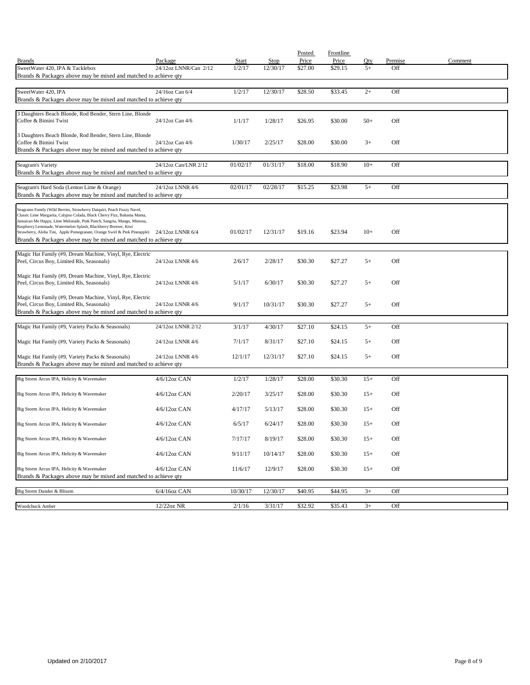|                                                                                                                                                  |                       |              |          | Posted  | Frontline |       |         |         |
|--------------------------------------------------------------------------------------------------------------------------------------------------|-----------------------|--------------|----------|---------|-----------|-------|---------|---------|
| <b>Brands</b>                                                                                                                                    | Package               | <b>Start</b> | Stop     | Price   | Price     | Oty   | Premise | Comment |
| SweetWater 420, IPA & Tacklebox<br>Brands & Packages above may be mixed and matched to achieve qty                                               | 24/12oz LNNR/Can 2/12 | 1/2/17       | 12/30/17 | \$27.00 | \$29.15   | $5+$  | Off     |         |
|                                                                                                                                                  |                       |              |          |         |           |       |         |         |
| SweetWater 420, IPA                                                                                                                              | 24/16oz Can 6/4       | 1/2/17       | 12/30/17 | \$28.50 | \$33.45   | $2+$  | Off     |         |
| Brands & Packages above may be mixed and matched to achieve qty                                                                                  |                       |              |          |         |           |       |         |         |
|                                                                                                                                                  |                       |              |          |         |           |       |         |         |
| 3 Daughters Beach Blonde, Rod Bender, Stern Line, Blonde<br>Coffee & Bimini Twist                                                                | 24/12oz Can 4/6       | 1/1/17       | 1/28/17  | \$26.95 | \$30.00   | $50+$ | Off     |         |
|                                                                                                                                                  |                       |              |          |         |           |       |         |         |
| 3 Daughters Beach Blonde, Rod Bender, Stern Line, Blonde                                                                                         |                       |              |          |         |           |       |         |         |
| Coffee & Bimini Twist                                                                                                                            | 24/12oz Can 4/6       | 1/30/17      | 2/25/17  | \$28.00 | \$30.00   | $3+$  | Off     |         |
| Brands & Packages above may be mixed and matched to achieve qty                                                                                  |                       |              |          |         |           |       |         |         |
| Seagram's Variety                                                                                                                                | 24/12oz Can/LNR 2/12  | 01/02/17     | 01/31/17 | \$18.00 | \$18.90   | $10+$ | Off     |         |
| Brands & Packages above may be mixed and matched to achieve qty                                                                                  |                       |              |          |         |           |       |         |         |
|                                                                                                                                                  |                       |              |          |         |           |       |         |         |
| Seagram's Hard Soda (Lemon Lime & Orange)                                                                                                        | 24/12oz LNNR 4/6      | 02/01/17     | 02/28/17 | \$15.25 | \$23.98   | $5+$  | Off     |         |
| Brands & Packages above may be mixed and matched to achieve qty                                                                                  |                       |              |          |         |           |       |         |         |
| Seagrams Family (Wild Berries, Strawberry Daiquiri, Peach Fuzzy Navel,                                                                           |                       |              |          |         |           |       |         |         |
| Classic Lime Margarita, Calypso Colada, Black Cherry Fizz, Bahama Mama,<br>Jamaican Me Happy, Lime Melonade, Pink Punch, Sangria, Mango, Mimosa, |                       |              |          |         |           |       |         |         |
| Raspberry Lemonade, Watermelon Splash, Blackberry Breezer, Kiwi                                                                                  |                       |              |          |         |           |       |         |         |
| Strawberry, Aloha Tini, Apple Pomegranate, Orange Swirl & Pink Pineapple)                                                                        | 24/12oz LNNR 6/4      | 01/02/17     | 12/31/17 | \$19.16 | \$23.94   | $10+$ | Off     |         |
| Brands & Packages above may be mixed and matched to achieve qty                                                                                  |                       |              |          |         |           |       |         |         |
| Magic Hat Family (#9, Dream Machine, Vinyl, Rye, Electric                                                                                        |                       |              |          |         |           |       |         |         |
| Peel, Circus Boy, Limited Rls, Seasonals)                                                                                                        | 24/12oz LNNR 4/6      | 2/6/17       | 2/28/17  | \$30.30 | \$27.27   | $5+$  | Off     |         |
|                                                                                                                                                  |                       |              |          |         |           |       |         |         |
| Magic Hat Family (#9, Dream Machine, Vinyl, Rye, Electric<br>Peel, Circus Boy, Limited Rls, Seasonals)                                           | 24/12oz LNNR 4/6      | 5/1/17       | 6/30/17  | \$30.30 | \$27.27   | $5+$  | Off     |         |
|                                                                                                                                                  |                       |              |          |         |           |       |         |         |
| Magic Hat Family (#9, Dream Machine, Vinyl, Rye, Electric                                                                                        |                       |              |          |         |           |       |         |         |
| Peel, Circus Boy, Limited Rls, Seasonals)                                                                                                        | 24/12oz LNNR 4/6      | 9/1/17       | 10/31/17 | \$30.30 | \$27.27   | $5+$  | Off     |         |
| Brands & Packages above may be mixed and matched to achieve qty                                                                                  |                       |              |          |         |           |       |         |         |
| Magic Hat Family (#9, Variety Packs & Seasonals)                                                                                                 | 24/12oz LNNR 2/12     | 3/1/17       | 4/30/17  | \$27.10 | \$24.15   | $5+$  | Off     |         |
|                                                                                                                                                  |                       |              |          |         |           |       |         |         |
| Magic Hat Family (#9, Variety Packs & Seasonals)                                                                                                 | 24/12oz LNNR 4/6      | 7/1/17       | 8/31/17  | \$27.10 | \$24.15   | $5+$  | Off     |         |
|                                                                                                                                                  |                       |              |          |         |           |       |         |         |
| Magic Hat Family (#9, Variety Packs & Seasonals)<br>Brands & Packages above may be mixed and matched to achieve qty                              | 24/12oz LNNR 4/6      | 12/1/17      | 12/31/17 | \$27.10 | \$24.15   | $5+$  | Off     |         |
|                                                                                                                                                  |                       |              |          |         |           |       |         |         |
| Big Storm Arcus IPA, Helicity & Wavemaker                                                                                                        | 4/6/12oz CAN          | 1/2/17       | 1/28/17  | \$28.00 | \$30.30   | $15+$ | Off     |         |
|                                                                                                                                                  |                       |              |          |         |           |       |         |         |
| Big Storm Arcus IPA, Helicity & Wavemaker                                                                                                        | $4/6/12$ oz CAN       | 2/20/17      | 3/25/17  | \$28.00 | \$30.30   | $15+$ | Off     |         |
| Big Storm Arcus IPA, Helicity & Wavemaker                                                                                                        | $4/6/12$ oz CAN       | 4/17/17      | 5/13/17  | \$28.00 | \$30.30   | $15+$ | Off     |         |
|                                                                                                                                                  |                       |              |          |         |           |       |         |         |
| Big Storm Arcus IPA, Helicity & Wavemaker                                                                                                        | $4/6/12$ oz CAN       | 6/5/17       | 6/24/17  | \$28.00 | \$30.30   | $15+$ | Off     |         |
|                                                                                                                                                  |                       |              |          |         |           |       |         |         |
| Big Storm Arcus IPA, Helicity & Wavemaker                                                                                                        | 4/6/12oz CAN          | 7/17/17      | 8/19/17  | \$28.00 | \$30.30   | $15+$ | Off     |         |
| Big Storm Arcus IPA, Helicity & Wavemaker                                                                                                        | 4/6/12oz CAN          | 9/11/17      | 10/14/17 | \$28.00 | \$30.30   | $15+$ | Off     |         |
|                                                                                                                                                  |                       |              |          |         |           |       |         |         |
| Big Storm Arcus IPA, Helicity & Wavemaker                                                                                                        | 4/6/12oz CAN          | 11/6/17      | 12/9/17  | \$28.00 | \$30.30   | $15+$ | Off     |         |
| Brands & Packages above may be mixed and matched to achieve qty                                                                                  |                       |              |          |         |           |       |         |         |
| Big Storm Dunder & Blixem                                                                                                                        | 6/4/16oz CAN          | 10/30/17     | 12/30/17 | \$40.95 | \$44.95   | $3+$  | Off     |         |
|                                                                                                                                                  |                       |              |          |         |           |       |         |         |
| Woodchuck Amber                                                                                                                                  | 12/22oz NR            | 2/1/16       | 3/31/17  | \$32.92 | \$35.43   | $3+$  | Off     |         |